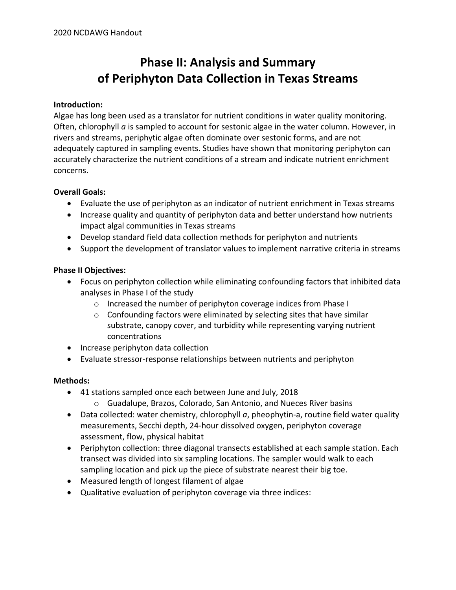# **Phase II: Analysis and Summary of Periphyton Data Collection in Texas Streams**

#### **Introduction:**

Algae has long been used as a translator for nutrient conditions in water quality monitoring. Often, chlorophyll *a* is sampled to account for sestonic algae in the water column. However, in rivers and streams, periphytic algae often dominate over sestonic forms, and are not adequately captured in sampling events. Studies have shown that monitoring periphyton can accurately characterize the nutrient conditions of a stream and indicate nutrient enrichment concerns.

### **Overall Goals:**

- Evaluate the use of periphyton as an indicator of nutrient enrichment in Texas streams
- Increase quality and quantity of periphyton data and better understand how nutrients impact algal communities in Texas streams
- Develop standard field data collection methods for periphyton and nutrients
- Support the development of translator values to implement narrative criteria in streams

### **Phase II Objectives:**

- Focus on periphyton collection while eliminating confounding factors that inhibited data analyses in Phase I of the study
	- o Increased the number of periphyton coverage indices from Phase I
	- o Confounding factors were eliminated by selecting sites that have similar substrate, canopy cover, and turbidity while representing varying nutrient concentrations
- Increase periphyton data collection
- Evaluate stressor-response relationships between nutrients and periphyton

#### **Methods:**

- 41 stations sampled once each between June and July, 2018 o Guadalupe, Brazos, Colorado, San Antonio, and Nueces River basins
- Data collected: water chemistry, chlorophyll *a*, pheophytin-a, routine field water quality measurements, Secchi depth, 24-hour dissolved oxygen, periphyton coverage assessment, flow, physical habitat
- Periphyton collection: three diagonal transects established at each sample station. Each transect was divided into six sampling locations. The sampler would walk to each sampling location and pick up the piece of substrate nearest their big toe.
- Measured length of longest filament of algae
- Qualitative evaluation of periphyton coverage via three indices: